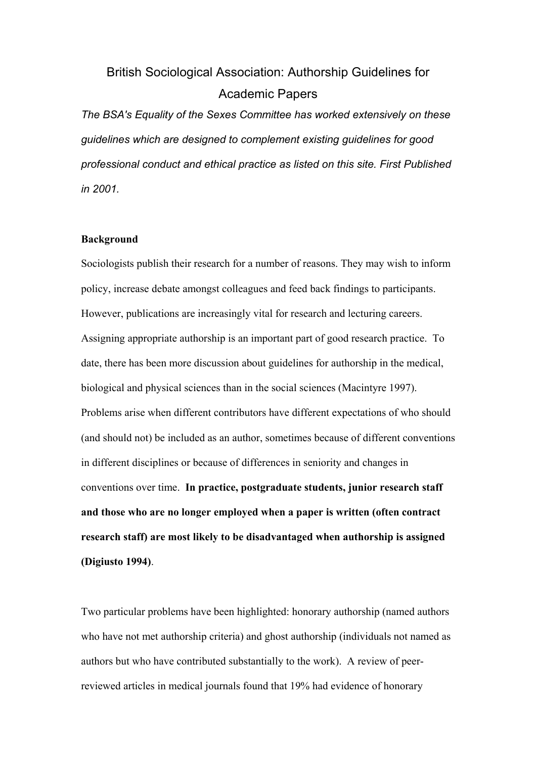# British Sociological Association: Authorship Guidelines for Academic Papers

*The BSA's Equality of the Sexes Committee has worked extensively on these guidelines which are designed to complement existing guidelines for good professional conduct and ethical practice as listed on this site. First Published in 2001.* 

# **Background**

Sociologists publish their research for a number of reasons. They may wish to inform policy, increase debate amongst colleagues and feed back findings to participants. However, publications are increasingly vital for research and lecturing careers. Assigning appropriate authorship is an important part of good research practice. To date, there has been more discussion about guidelines for authorship in the medical, biological and physical sciences than in the social sciences (Macintyre 1997). Problems arise when different contributors have different expectations of who should (and should not) be included as an author, sometimes because of different conventions in different disciplines or because of differences in seniority and changes in conventions over time. **In practice, postgraduate students, junior research staff and those who are no longer employed when a paper is written (often contract research staff) are most likely to be disadvantaged when authorship is assigned (Digiusto 1994)**.

Two particular problems have been highlighted: honorary authorship (named authors who have not met authorship criteria) and ghost authorship (individuals not named as authors but who have contributed substantially to the work). A review of peerreviewed articles in medical journals found that 19% had evidence of honorary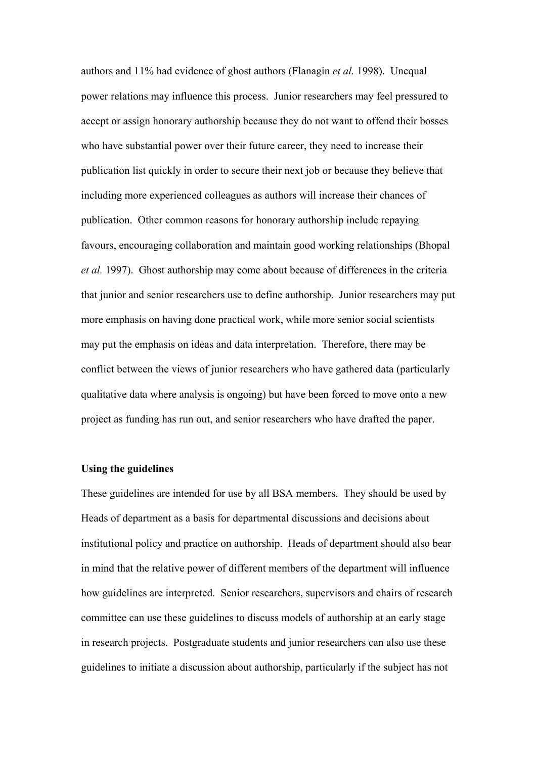authors and 11% had evidence of ghost authors (Flanagin *et al.* 1998). Unequal power relations may influence this process. Junior researchers may feel pressured to accept or assign honorary authorship because they do not want to offend their bosses who have substantial power over their future career, they need to increase their publication list quickly in order to secure their next job or because they believe that including more experienced colleagues as authors will increase their chances of publication. Other common reasons for honorary authorship include repaying favours, encouraging collaboration and maintain good working relationships (Bhopal *et al.* 1997). Ghost authorship may come about because of differences in the criteria that junior and senior researchers use to define authorship. Junior researchers may put more emphasis on having done practical work, while more senior social scientists may put the emphasis on ideas and data interpretation. Therefore, there may be conflict between the views of junior researchers who have gathered data (particularly qualitative data where analysis is ongoing) but have been forced to move onto a new project as funding has run out, and senior researchers who have drafted the paper.

# **Using the guidelines**

These guidelines are intended for use by all BSA members. They should be used by Heads of department as a basis for departmental discussions and decisions about institutional policy and practice on authorship. Heads of department should also bear in mind that the relative power of different members of the department will influence how guidelines are interpreted. Senior researchers, supervisors and chairs of research committee can use these guidelines to discuss models of authorship at an early stage in research projects. Postgraduate students and junior researchers can also use these guidelines to initiate a discussion about authorship, particularly if the subject has not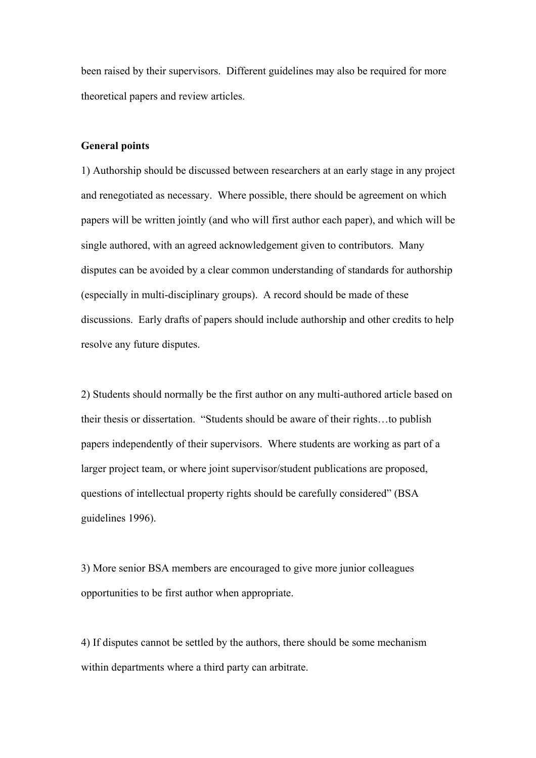been raised by their supervisors. Different guidelines may also be required for more theoretical papers and review articles.

#### **General points**

1) Authorship should be discussed between researchers at an early stage in any project and renegotiated as necessary. Where possible, there should be agreement on which papers will be written jointly (and who will first author each paper), and which will be single authored, with an agreed acknowledgement given to contributors. Many disputes can be avoided by a clear common understanding of standards for authorship (especially in multi-disciplinary groups). A record should be made of these discussions. Early drafts of papers should include authorship and other credits to help resolve any future disputes.

2) Students should normally be the first author on any multi-authored article based on their thesis or dissertation. "Students should be aware of their rights…to publish papers independently of their supervisors. Where students are working as part of a larger project team, or where joint supervisor/student publications are proposed, questions of intellectual property rights should be carefully considered" (BSA guidelines 1996).

3) More senior BSA members are encouraged to give more junior colleagues opportunities to be first author when appropriate.

4) If disputes cannot be settled by the authors, there should be some mechanism within departments where a third party can arbitrate.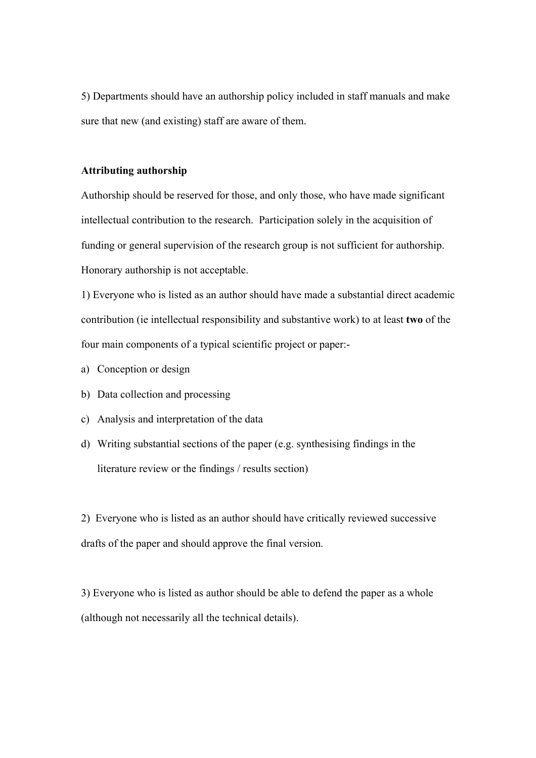5) Departments should have an authorship policy included in staff manuals and make sure that new (and existing) staff are aware of them.

### **Attributing authorship**

Authorship should be reserved for those, and only those, who have made significant intellectual contribution to the research. Participation solely in the acquisition of funding or general supervision of the research group is not sufficient for authorship. Honorary authorship is not acceptable.

1) Everyone who is listed as an author should have made a substantial direct academic contribution (ie intellectual responsibility and substantive work) to at least **two** of the four main components of a typical scientific project or paper:-

- a) Conception or design
- b) Data collection and processing
- c) Analysis and interpretation of the data
- d) Writing substantial sections of the paper (e.g. synthesising findings in the literature review or the findings / results section)

2) Everyone who is listed as an author should have critically reviewed successive drafts of the paper and should approve the final version.

3) Everyone who is listed as author should be able to defend the paper as a whole (although not necessarily all the technical details).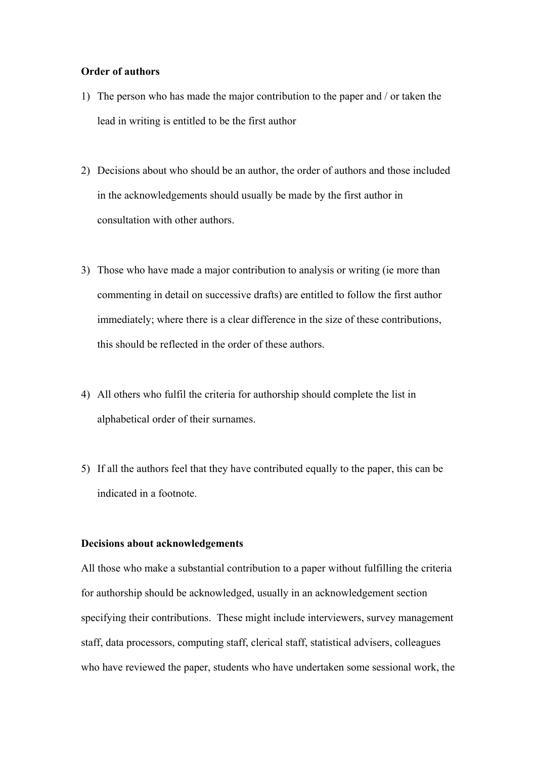#### **Order of authors**

- 1) The person who has made the major contribution to the paper and / or taken the lead in writing is entitled to be the first author
- 2) Decisions about who should be an author, the order of authors and those included in the acknowledgements should usually be made by the first author in consultation with other authors.
- 3) Those who have made a major contribution to analysis or writing (ie more than commenting in detail on successive drafts) are entitled to follow the first author immediately; where there is a clear difference in the size of these contributions, this should be reflected in the order of these authors.
- 4) All others who fulfil the criteria for authorship should complete the list in alphabetical order of their surnames.
- 5) If all the authors feel that they have contributed equally to the paper, this can be indicated in a footnote.

#### **Decisions about acknowledgements**

All those who make a substantial contribution to a paper without fulfilling the criteria for authorship should be acknowledged, usually in an acknowledgement section specifying their contributions. These might include interviewers, survey management staff, data processors, computing staff, clerical staff, statistical advisers, colleagues who have reviewed the paper, students who have undertaken some sessional work, the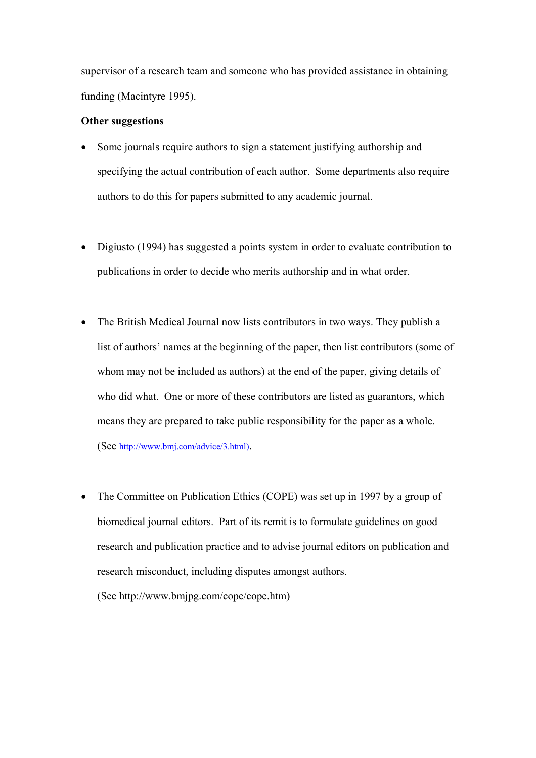supervisor of a research team and someone who has provided assistance in obtaining funding (Macintyre 1995).

# **Other suggestions**

- Some journals require authors to sign a statement justifying authorship and specifying the actual contribution of each author. Some departments also require authors to do this for papers submitted to any academic journal.
- Digiusto (1994) has suggested a points system in order to evaluate contribution to publications in order to decide who merits authorship and in what order.
- The British Medical Journal now lists contributors in two ways. They publish a list of authors' names at the beginning of the paper, then list contributors (some of whom may not be included as authors) at the end of the paper, giving details of who did what. One or more of these contributors are listed as guarantors, which means they are prepared to take public responsibility for the paper as a whole. (See [http://www.bmj.com/advice/3.html\).](http://www.bmj.com/advice/3.html))
- The Committee on Publication Ethics (COPE) was set up in 1997 by a group of biomedical journal editors. Part of its remit is to formulate guidelines on good research and publication practice and to advise journal editors on publication and research misconduct, including disputes amongst authors.

(See http://www.bmjpg.com/cope/cope.htm)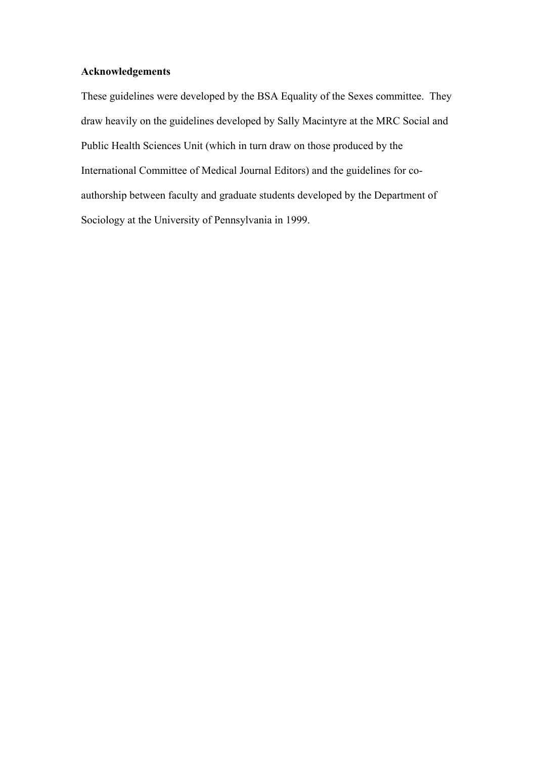# **Acknowledgements**

These guidelines were developed by the BSA Equality of the Sexes committee. They draw heavily on the guidelines developed by Sally Macintyre at the MRC Social and Public Health Sciences Unit (which in turn draw on those produced by the International Committee of Medical Journal Editors) and the guidelines for coauthorship between faculty and graduate students developed by the Department of Sociology at the University of Pennsylvania in 1999.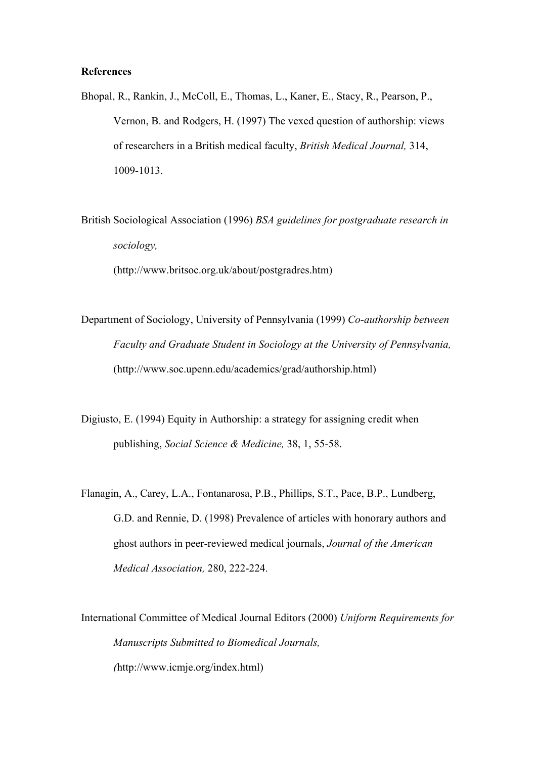#### **References**

Bhopal, R., Rankin, J., McColl, E., Thomas, L., Kaner, E., Stacy, R., Pearson, P., Vernon, B. and Rodgers, H. (1997) The vexed question of authorship: views of researchers in a British medical faculty, *British Medical Journal,* 314, 1009-1013.

British Sociological Association (1996) *BSA guidelines for postgraduate research in sociology,*  (http://www.britsoc.org.uk/about/postgradres.htm)

Department of Sociology, University of Pennsylvania (1999) *Co-authorship between Faculty and Graduate Student in Sociology at the University of Pennsylvania,* (http://www.soc.upenn.edu/academics/grad/authorship.html)

Digiusto, E. (1994) Equity in Authorship: a strategy for assigning credit when publishing, *Social Science & Medicine,* 38, 1, 55-58.

Flanagin, A., Carey, L.A., Fontanarosa, P.B., Phillips, S.T., Pace, B.P., Lundberg, G.D. and Rennie, D. (1998) Prevalence of articles with honorary authors and ghost authors in peer-reviewed medical journals, *Journal of the American Medical Association,* 280, 222-224.

International Committee of Medical Journal Editors (2000) *Uniform Requirements for Manuscripts Submitted to Biomedical Journals, (*http://www.icmje.org/index.html)